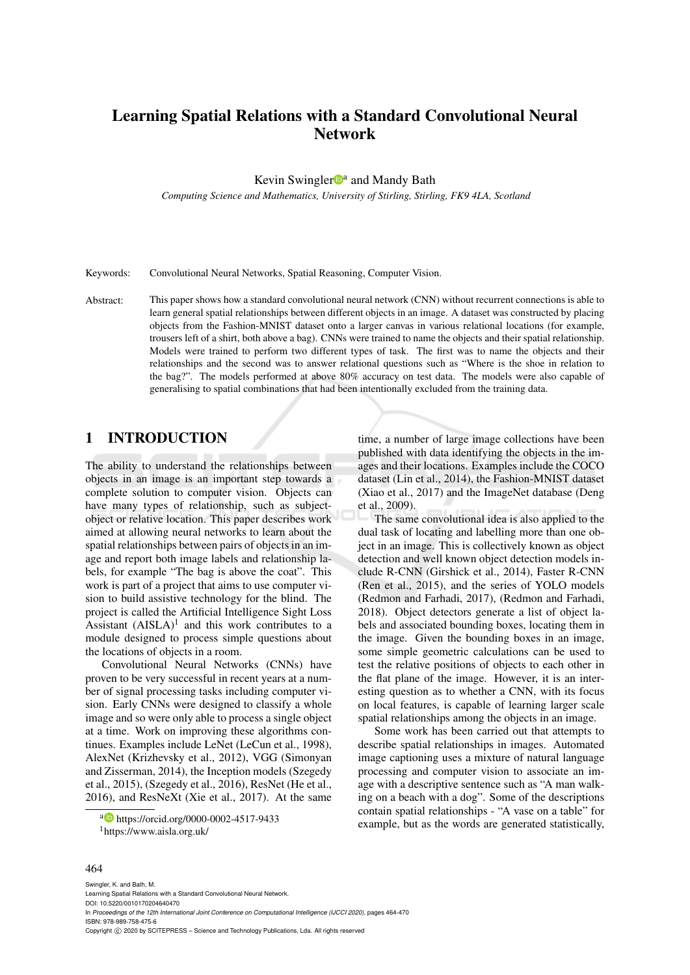# Learning Spatial Relations with a Standard Convolutional Neural Network

Kevin Swingler<sup>Da</sup> and Mandy Bath

*Computing Science and Mathematics, University of Stirling, Stirling, FK9 4LA, Scotland*

Keywords: Convolutional Neural Networks, Spatial Reasoning, Computer Vision.

Abstract: This paper shows how a standard convolutional neural network (CNN) without recurrent connections is able to learn general spatial relationships between different objects in an image. A dataset was constructed by placing objects from the Fashion-MNIST dataset onto a larger canvas in various relational locations (for example, trousers left of a shirt, both above a bag). CNNs were trained to name the objects and their spatial relationship. Models were trained to perform two different types of task. The first was to name the objects and their relationships and the second was to answer relational questions such as "Where is the shoe in relation to the bag?". The models performed at above 80% accuracy on test data. The models were also capable of generalising to spatial combinations that had been intentionally excluded from the training data.

# 1 INTRODUCTION

The ability to understand the relationships between objects in an image is an important step towards a complete solution to computer vision. Objects can have many types of relationship, such as subjectobject or relative location. This paper describes work aimed at allowing neural networks to learn about the spatial relationships between pairs of objects in an image and report both image labels and relationship labels, for example "The bag is above the coat". This work is part of a project that aims to use computer vision to build assistive technology for the blind. The project is called the Artificial Intelligence Sight Loss Assistant  $(AISLA)^1$  and this work contributes to a module designed to process simple questions about the locations of objects in a room.

Convolutional Neural Networks (CNNs) have proven to be very successful in recent years at a number of signal processing tasks including computer vision. Early CNNs were designed to classify a whole image and so were only able to process a single object at a time. Work on improving these algorithms continues. Examples include LeNet (LeCun et al., 1998), AlexNet (Krizhevsky et al., 2012), VGG (Simonyan and Zisserman, 2014), the Inception models (Szegedy et al., 2015), (Szegedy et al., 2016), ResNet (He et al., 2016), and ResNeXt (Xie et al., 2017). At the same

a https://orcid.org/0000-0002-4517-9433 <sup>1</sup>https://www.aisla.org.uk/

time, a number of large image collections have been published with data identifying the objects in the images and their locations. Examples include the COCO dataset (Lin et al., 2014), the Fashion-MNIST dataset (Xiao et al., 2017) and the ImageNet database (Deng et al., 2009).

The same convolutional idea is also applied to the dual task of locating and labelling more than one object in an image. This is collectively known as object detection and well known object detection models include R-CNN (Girshick et al., 2014), Faster R-CNN (Ren et al., 2015), and the series of YOLO models (Redmon and Farhadi, 2017), (Redmon and Farhadi, 2018). Object detectors generate a list of object labels and associated bounding boxes, locating them in the image. Given the bounding boxes in an image, some simple geometric calculations can be used to test the relative positions of objects to each other in the flat plane of the image. However, it is an interesting question as to whether a CNN, with its focus on local features, is capable of learning larger scale spatial relationships among the objects in an image.

Some work has been carried out that attempts to describe spatial relationships in images. Automated image captioning uses a mixture of natural language processing and computer vision to associate an image with a descriptive sentence such as "A man walking on a beach with a dog". Some of the descriptions contain spatial relationships - "A vase on a table" for example, but as the words are generated statistically,

#### 464

Swingler, K. and Bath, M. Learning Spatial Relations with a Standard Convolutional Neural Network. DOI: 10.5220/0010170204640470 In *Proceedings of the 12th International Joint Conference on Computational Intelligence (IJCCI 2020)*, pages 464-470 ISBN: 978-989-758-475-6 Copyright © 2020 by SCITEPRESS - Science and Technology Publications, Lda. All rights reserved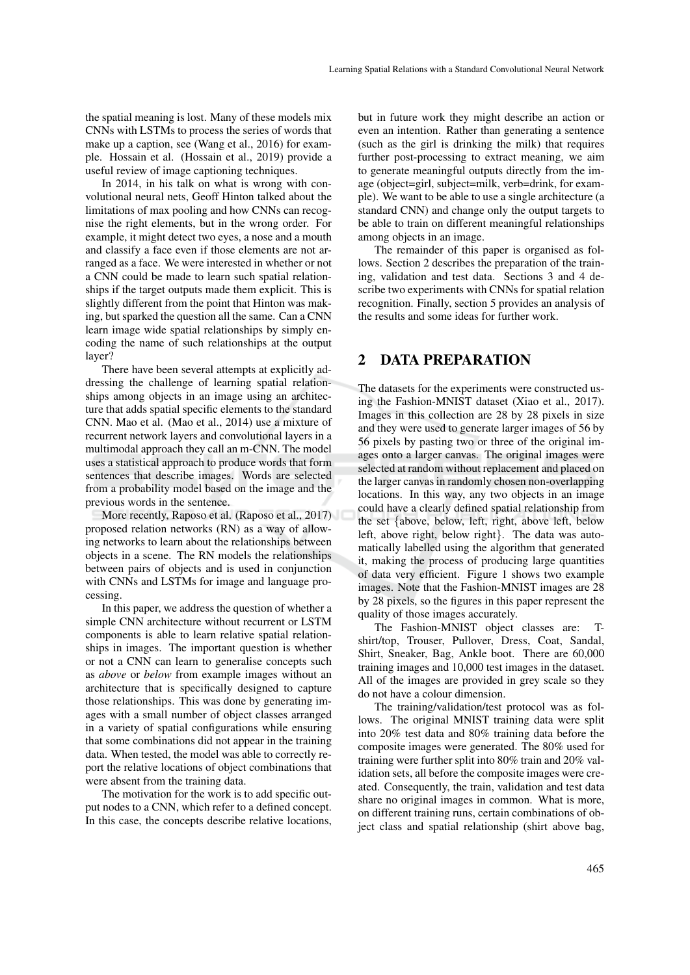the spatial meaning is lost. Many of these models mix CNNs with LSTMs to process the series of words that make up a caption, see (Wang et al., 2016) for example. Hossain et al. (Hossain et al., 2019) provide a useful review of image captioning techniques.

In 2014, in his talk on what is wrong with convolutional neural nets, Geoff Hinton talked about the limitations of max pooling and how CNNs can recognise the right elements, but in the wrong order. For example, it might detect two eyes, a nose and a mouth and classify a face even if those elements are not arranged as a face. We were interested in whether or not a CNN could be made to learn such spatial relationships if the target outputs made them explicit. This is slightly different from the point that Hinton was making, but sparked the question all the same. Can a CNN learn image wide spatial relationships by simply encoding the name of such relationships at the output layer?

There have been several attempts at explicitly addressing the challenge of learning spatial relationships among objects in an image using an architecture that adds spatial specific elements to the standard CNN. Mao et al. (Mao et al., 2014) use a mixture of recurrent network layers and convolutional layers in a multimodal approach they call an m-CNN. The model uses a statistical approach to produce words that form sentences that describe images. Words are selected from a probability model based on the image and the previous words in the sentence.

More recently, Raposo et al. (Raposo et al., 2017) proposed relation networks (RN) as a way of allowing networks to learn about the relationships between objects in a scene. The RN models the relationships between pairs of objects and is used in conjunction with CNNs and LSTMs for image and language processing.

In this paper, we address the question of whether a simple CNN architecture without recurrent or LSTM components is able to learn relative spatial relationships in images. The important question is whether or not a CNN can learn to generalise concepts such as *above* or *below* from example images without an architecture that is specifically designed to capture those relationships. This was done by generating images with a small number of object classes arranged in a variety of spatial configurations while ensuring that some combinations did not appear in the training data. When tested, the model was able to correctly report the relative locations of object combinations that were absent from the training data.

The motivation for the work is to add specific output nodes to a CNN, which refer to a defined concept. In this case, the concepts describe relative locations,

but in future work they might describe an action or even an intention. Rather than generating a sentence (such as the girl is drinking the milk) that requires further post-processing to extract meaning, we aim to generate meaningful outputs directly from the image (object=girl, subject=milk, verb=drink, for example). We want to be able to use a single architecture (a standard CNN) and change only the output targets to be able to train on different meaningful relationships among objects in an image.

The remainder of this paper is organised as follows. Section 2 describes the preparation of the training, validation and test data. Sections 3 and 4 describe two experiments with CNNs for spatial relation recognition. Finally, section 5 provides an analysis of the results and some ideas for further work.

### 2 DATA PREPARATION

The datasets for the experiments were constructed using the Fashion-MNIST dataset (Xiao et al., 2017). Images in this collection are 28 by 28 pixels in size and they were used to generate larger images of 56 by 56 pixels by pasting two or three of the original images onto a larger canvas. The original images were selected at random without replacement and placed on the larger canvas in randomly chosen non-overlapping locations. In this way, any two objects in an image could have a clearly defined spatial relationship from the set {above, below, left, right, above left, below left, above right, below right}. The data was automatically labelled using the algorithm that generated it, making the process of producing large quantities of data very efficient. Figure 1 shows two example images. Note that the Fashion-MNIST images are 28 by 28 pixels, so the figures in this paper represent the quality of those images accurately.

The Fashion-MNIST object classes are: Tshirt/top, Trouser, Pullover, Dress, Coat, Sandal, Shirt, Sneaker, Bag, Ankle boot. There are 60,000 training images and 10,000 test images in the dataset. All of the images are provided in grey scale so they do not have a colour dimension.

The training/validation/test protocol was as follows. The original MNIST training data were split into 20% test data and 80% training data before the composite images were generated. The 80% used for training were further split into 80% train and 20% validation sets, all before the composite images were created. Consequently, the train, validation and test data share no original images in common. What is more, on different training runs, certain combinations of object class and spatial relationship (shirt above bag,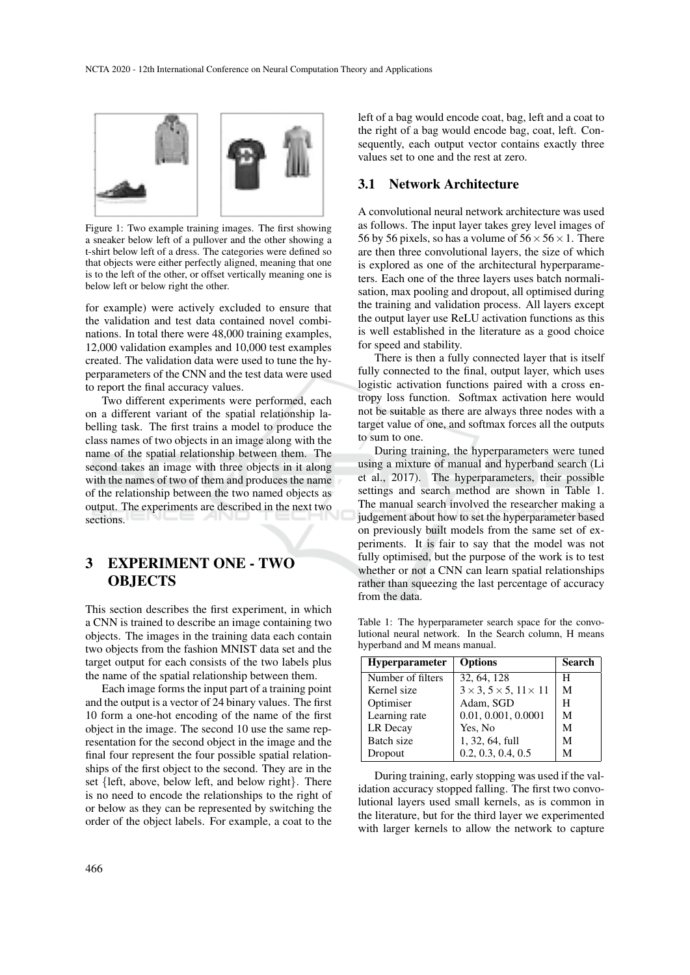

Figure 1: Two example training images. The first showing a sneaker below left of a pullover and the other showing a t-shirt below left of a dress. The categories were defined so that objects were either perfectly aligned, meaning that one is to the left of the other, or offset vertically meaning one is below left or below right the other.

for example) were actively excluded to ensure that the validation and test data contained novel combinations. In total there were 48,000 training examples, 12,000 validation examples and 10,000 test examples created. The validation data were used to tune the hyperparameters of the CNN and the test data were used to report the final accuracy values.

Two different experiments were performed, each on a different variant of the spatial relationship labelling task. The first trains a model to produce the class names of two objects in an image along with the name of the spatial relationship between them. The second takes an image with three objects in it along with the names of two of them and produces the name of the relationship between the two named objects as output. The experiments are described in the next two sections.

# 3 EXPERIMENT ONE - TWO **OBJECTS**

This section describes the first experiment, in which a CNN is trained to describe an image containing two objects. The images in the training data each contain two objects from the fashion MNIST data set and the target output for each consists of the two labels plus the name of the spatial relationship between them.

Each image forms the input part of a training point and the output is a vector of 24 binary values. The first 10 form a one-hot encoding of the name of the first object in the image. The second 10 use the same representation for the second object in the image and the final four represent the four possible spatial relationships of the first object to the second. They are in the set {left, above, below left, and below right}. There is no need to encode the relationships to the right of or below as they can be represented by switching the order of the object labels. For example, a coat to the

left of a bag would encode coat, bag, left and a coat to the right of a bag would encode bag, coat, left. Consequently, each output vector contains exactly three values set to one and the rest at zero.

#### 3.1 Network Architecture

A convolutional neural network architecture was used as follows. The input layer takes grey level images of 56 by 56 pixels, so has a volume of  $56 \times 56 \times 1$ . There are then three convolutional layers, the size of which is explored as one of the architectural hyperparameters. Each one of the three layers uses batch normalisation, max pooling and dropout, all optimised during the training and validation process. All layers except the output layer use ReLU activation functions as this is well established in the literature as a good choice for speed and stability.

There is then a fully connected layer that is itself fully connected to the final, output layer, which uses logistic activation functions paired with a cross entropy loss function. Softmax activation here would not be suitable as there are always three nodes with a target value of one, and softmax forces all the outputs to sum to one.

During training, the hyperparameters were tuned using a mixture of manual and hyperband search (Li et al., 2017). The hyperparameters, their possible settings and search method are shown in Table 1. The manual search involved the researcher making a judgement about how to set the hyperparameter based on previously built models from the same set of experiments. It is fair to say that the model was not fully optimised, but the purpose of the work is to test whether or not a CNN can learn spatial relationships rather than squeezing the last percentage of accuracy from the data.

Table 1: The hyperparameter search space for the convolutional neural network. In the Search column, H means hyperband and M means manual.

| <b>Hyperparameter</b> | <b>Options</b>                               | <b>Search</b> |
|-----------------------|----------------------------------------------|---------------|
| Number of filters     | 32, 64, 128                                  | H             |
| Kernel size           | $3 \times 3$ , $5 \times 5$ , $11 \times 11$ | M             |
| Optimiser             | Adam, SGD                                    | H             |
| Learning rate         | 0.01, 0.001, 0.0001                          | M             |
| LR Decay              | Yes, No                                      | М             |
| Batch size            | 1, 32, 64, full                              | М             |
| Dropout               | 0.2, 0.3, 0.4, 0.5                           | M             |

During training, early stopping was used if the validation accuracy stopped falling. The first two convolutional layers used small kernels, as is common in the literature, but for the third layer we experimented with larger kernels to allow the network to capture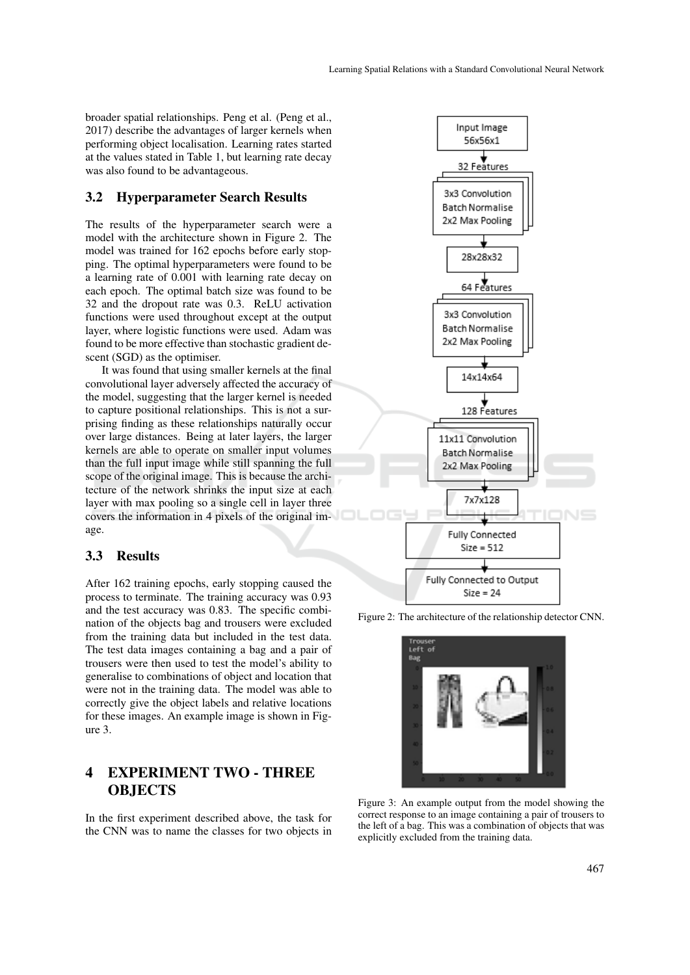broader spatial relationships. Peng et al. (Peng et al., 2017) describe the advantages of larger kernels when performing object localisation. Learning rates started at the values stated in Table 1, but learning rate decay was also found to be advantageous.

#### 3.2 Hyperparameter Search Results

The results of the hyperparameter search were a model with the architecture shown in Figure 2. The model was trained for 162 epochs before early stopping. The optimal hyperparameters were found to be a learning rate of 0.001 with learning rate decay on each epoch. The optimal batch size was found to be 32 and the dropout rate was 0.3. ReLU activation functions were used throughout except at the output layer, where logistic functions were used. Adam was found to be more effective than stochastic gradient descent (SGD) as the optimiser.

It was found that using smaller kernels at the final convolutional layer adversely affected the accuracy of the model, suggesting that the larger kernel is needed to capture positional relationships. This is not a surprising finding as these relationships naturally occur over large distances. Being at later layers, the larger kernels are able to operate on smaller input volumes than the full input image while still spanning the full scope of the original image. This is because the architecture of the network shrinks the input size at each layer with max pooling so a single cell in layer three covers the information in 4 pixels of the original image.

### 3.3 Results

After 162 training epochs, early stopping caused the process to terminate. The training accuracy was 0.93 and the test accuracy was 0.83. The specific combination of the objects bag and trousers were excluded from the training data but included in the test data. The test data images containing a bag and a pair of trousers were then used to test the model's ability to generalise to combinations of object and location that were not in the training data. The model was able to correctly give the object labels and relative locations for these images. An example image is shown in Figure 3.

# 4 EXPERIMENT TWO - THREE **OBJECTS**

In the first experiment described above, the task for the CNN was to name the classes for two objects in







Figure 3: An example output from the model showing the correct response to an image containing a pair of trousers to the left of a bag. This was a combination of objects that was explicitly excluded from the training data.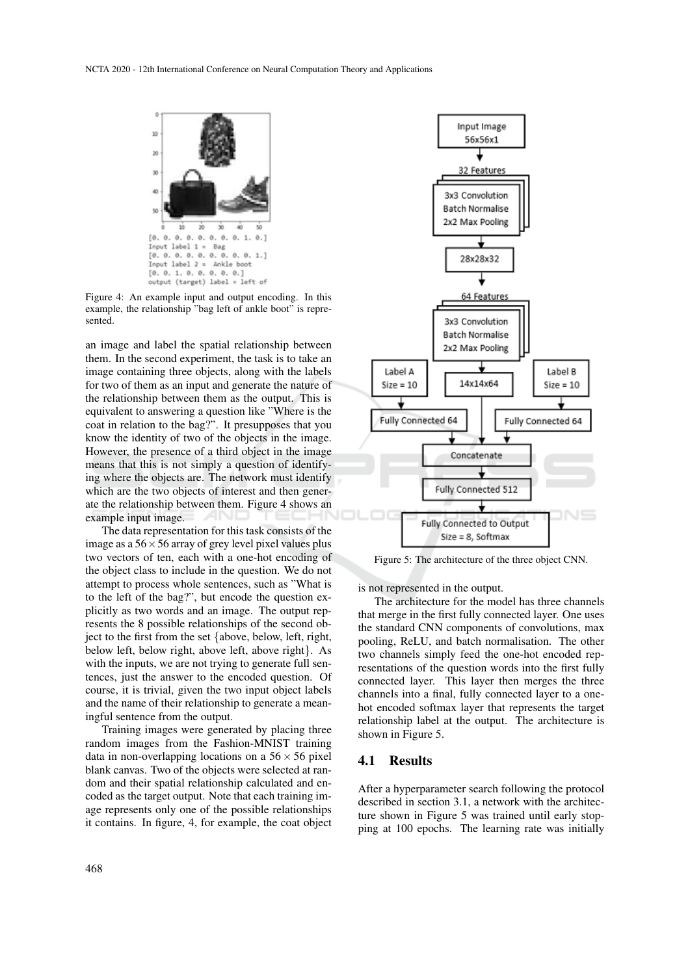

Figure 4: An example input and output encoding. In this example, the relationship "bag left of ankle boot" is represented.

an image and label the spatial relationship between them. In the second experiment, the task is to take an image containing three objects, along with the labels for two of them as an input and generate the nature of the relationship between them as the output. This is equivalent to answering a question like "Where is the coat in relation to the bag?". It presupposes that you know the identity of two of the objects in the image. However, the presence of a third object in the image means that this is not simply a question of identifying where the objects are. The network must identify which are the two objects of interest and then generate the relationship between them. Figure 4 shows an example input image.

The data representation for this task consists of the image as a  $56 \times 56$  array of grey level pixel values plus two vectors of ten, each with a one-hot encoding of the object class to include in the question. We do not attempt to process whole sentences, such as "What is to the left of the bag?", but encode the question explicitly as two words and an image. The output represents the 8 possible relationships of the second object to the first from the set {above, below, left, right, below left, below right, above left, above right}. As with the inputs, we are not trying to generate full sentences, just the answer to the encoded question. Of course, it is trivial, given the two input object labels and the name of their relationship to generate a meaningful sentence from the output.

Training images were generated by placing three random images from the Fashion-MNIST training data in non-overlapping locations on a  $56 \times 56$  pixel blank canvas. Two of the objects were selected at random and their spatial relationship calculated and encoded as the target output. Note that each training image represents only one of the possible relationships it contains. In figure, 4, for example, the coat object



Figure 5: The architecture of the three object CNN.

is not represented in the output.

The architecture for the model has three channels that merge in the first fully connected layer. One uses the standard CNN components of convolutions, max pooling, ReLU, and batch normalisation. The other two channels simply feed the one-hot encoded representations of the question words into the first fully connected layer. This layer then merges the three channels into a final, fully connected layer to a onehot encoded softmax layer that represents the target relationship label at the output. The architecture is shown in Figure 5.

#### 4.1 Results

After a hyperparameter search following the protocol described in section 3.1, a network with the architecture shown in Figure 5 was trained until early stopping at 100 epochs. The learning rate was initially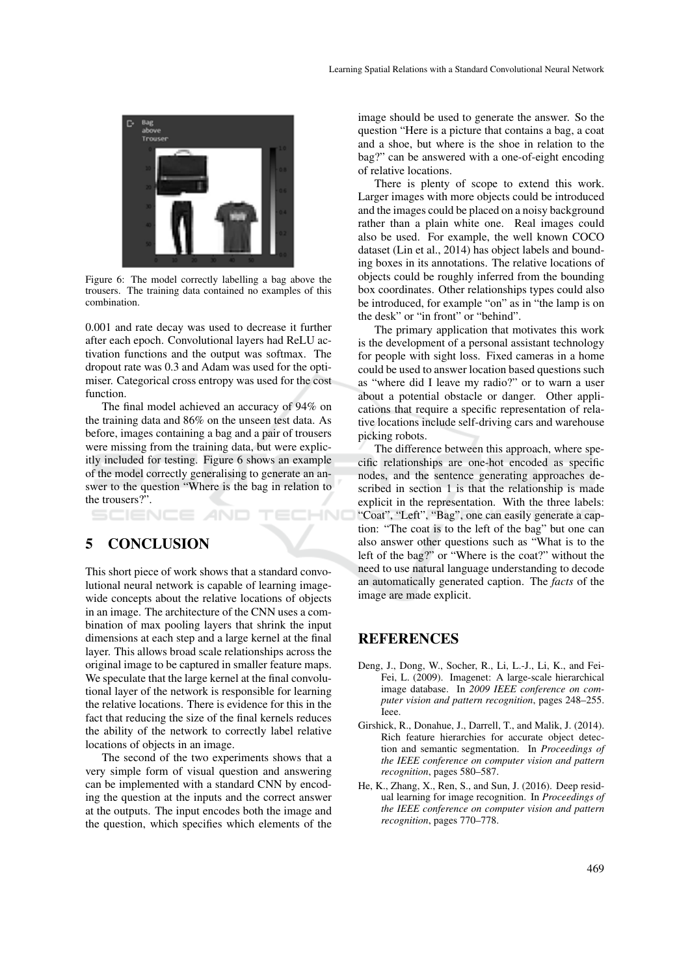

Figure 6: The model correctly labelling a bag above the trousers. The training data contained no examples of this combination.

0.001 and rate decay was used to decrease it further after each epoch. Convolutional layers had ReLU activation functions and the output was softmax. The dropout rate was 0.3 and Adam was used for the optimiser. Categorical cross entropy was used for the cost function.

The final model achieved an accuracy of 94% on the training data and 86% on the unseen test data. As before, images containing a bag and a pair of trousers were missing from the training data, but were explicitly included for testing. Figure 6 shows an example of the model correctly generalising to generate an answer to the question "Where is the bag in relation to the trousers?".

HNC SCIENCE *A*ND

## 5 CONCLUSION

This short piece of work shows that a standard convolutional neural network is capable of learning imagewide concepts about the relative locations of objects in an image. The architecture of the CNN uses a combination of max pooling layers that shrink the input dimensions at each step and a large kernel at the final layer. This allows broad scale relationships across the original image to be captured in smaller feature maps. We speculate that the large kernel at the final convolutional layer of the network is responsible for learning the relative locations. There is evidence for this in the fact that reducing the size of the final kernels reduces the ability of the network to correctly label relative locations of objects in an image.

The second of the two experiments shows that a very simple form of visual question and answering can be implemented with a standard CNN by encoding the question at the inputs and the correct answer at the outputs. The input encodes both the image and the question, which specifies which elements of the

image should be used to generate the answer. So the question "Here is a picture that contains a bag, a coat and a shoe, but where is the shoe in relation to the bag?" can be answered with a one-of-eight encoding of relative locations.

There is plenty of scope to extend this work. Larger images with more objects could be introduced and the images could be placed on a noisy background rather than a plain white one. Real images could also be used. For example, the well known COCO dataset (Lin et al., 2014) has object labels and bounding boxes in its annotations. The relative locations of objects could be roughly inferred from the bounding box coordinates. Other relationships types could also be introduced, for example "on" as in "the lamp is on the desk" or "in front" or "behind".

The primary application that motivates this work is the development of a personal assistant technology for people with sight loss. Fixed cameras in a home could be used to answer location based questions such as "where did I leave my radio?" or to warn a user about a potential obstacle or danger. Other applications that require a specific representation of relative locations include self-driving cars and warehouse picking robots.

The difference between this approach, where specific relationships are one-hot encoded as specific nodes, and the sentence generating approaches described in section 1 is that the relationship is made explicit in the representation. With the three labels: "Coat", "Left", "Bag", one can easily generate a caption: "The coat is to the left of the bag" but one can also answer other questions such as "What is to the left of the bag?" or "Where is the coat?" without the need to use natural language understanding to decode an automatically generated caption. The *facts* of the image are made explicit.

### REFERENCES

- Deng, J., Dong, W., Socher, R., Li, L.-J., Li, K., and Fei-Fei, L. (2009). Imagenet: A large-scale hierarchical image database. In *2009 IEEE conference on computer vision and pattern recognition*, pages 248–255. Ieee.
- Girshick, R., Donahue, J., Darrell, T., and Malik, J. (2014). Rich feature hierarchies for accurate object detection and semantic segmentation. In *Proceedings of the IEEE conference on computer vision and pattern recognition*, pages 580–587.
- He, K., Zhang, X., Ren, S., and Sun, J. (2016). Deep residual learning for image recognition. In *Proceedings of the IEEE conference on computer vision and pattern recognition*, pages 770–778.